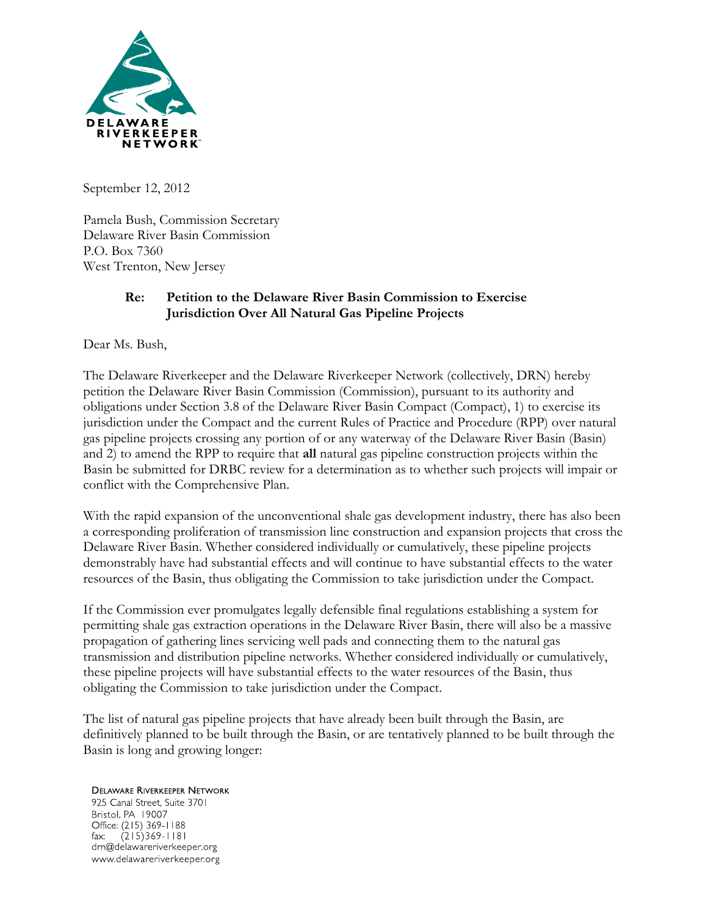

September 12, 2012

Pamela Bush, Commission Secretary Delaware River Basin Commission P.O. Box 7360 West Trenton, New Jersey

#### **Re: Petition to the Delaware River Basin Commission to Exercise Jurisdiction Over All Natural Gas Pipeline Projects**

Dear Ms. Bush,

The Delaware Riverkeeper and the Delaware Riverkeeper Network (collectively, DRN) hereby petition the Delaware River Basin Commission (Commission), pursuant to its authority and obligations under Section 3.8 of the Delaware River Basin Compact (Compact), 1) to exercise its jurisdiction under the Compact and the current Rules of Practice and Procedure (RPP) over natural gas pipeline projects crossing any portion of or any waterway of the Delaware River Basin (Basin) and 2) to amend the RPP to require that **all** natural gas pipeline construction projects within the Basin be submitted for DRBC review for a determination as to whether such projects will impair or conflict with the Comprehensive Plan.

With the rapid expansion of the unconventional shale gas development industry, there has also been a corresponding proliferation of transmission line construction and expansion projects that cross the Delaware River Basin. Whether considered individually or cumulatively, these pipeline projects demonstrably have had substantial effects and will continue to have substantial effects to the water resources of the Basin, thus obligating the Commission to take jurisdiction under the Compact.

If the Commission ever promulgates legally defensible final regulations establishing a system for permitting shale gas extraction operations in the Delaware River Basin, there will also be a massive propagation of gathering lines servicing well pads and connecting them to the natural gas transmission and distribution pipeline networks. Whether considered individually or cumulatively, these pipeline projects will have substantial effects to the water resources of the Basin, thus obligating the Commission to take jurisdiction under the Compact.

The list of natural gas pipeline projects that have already been built through the Basin, are definitively planned to be built through the Basin, or are tentatively planned to be built through the Basin is long and growing longer:

# **DELAWARE RIVERKEEPER NETWORK**

925 Canal Street, Suite 3701 Bristol, PA 19007 Office: (215) 369-1188  $(215)369 - 1181$ fax: drn@delawareriverkeeper.org www.delawareriverkeeper.org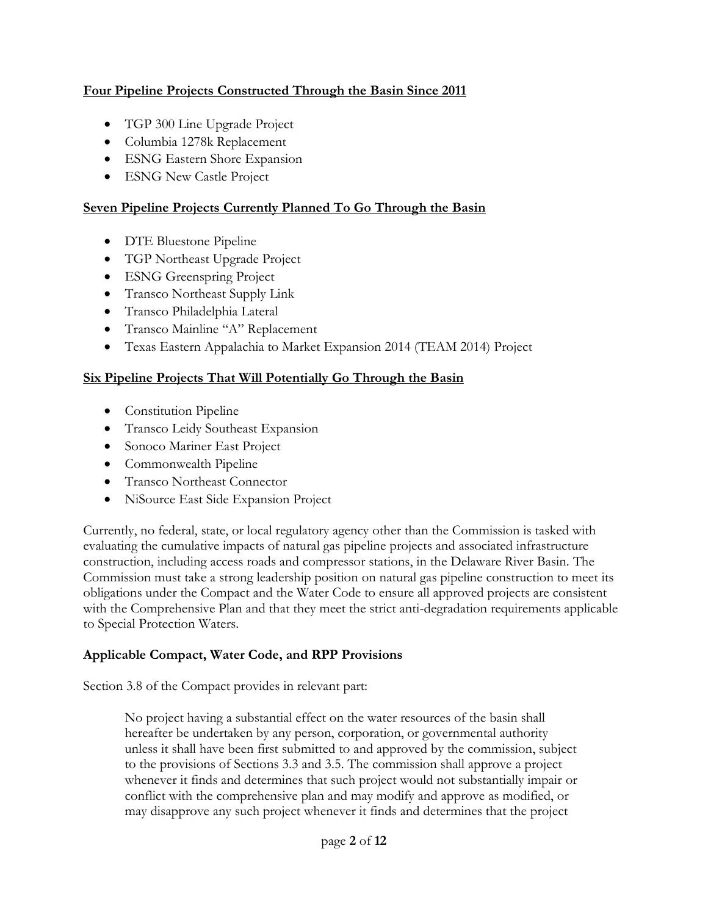# **Four Pipeline Projects Constructed Through the Basin Since 2011**

- TGP 300 Line Upgrade Project
- Columbia 1278k Replacement
- ESNG Eastern Shore Expansion
- ESNG New Castle Project

# **Seven Pipeline Projects Currently Planned To Go Through the Basin**

- DTE Bluestone Pipeline
- TGP Northeast Upgrade Project
- ESNG Greenspring Project
- Transco Northeast Supply Link
- Transco Philadelphia Lateral
- Transco Mainline "A" Replacement
- Texas Eastern Appalachia to Market Expansion 2014 (TEAM 2014) Project

# **Six Pipeline Projects That Will Potentially Go Through the Basin**

- Constitution Pipeline
- Transco Leidy Southeast Expansion
- Sonoco Mariner East Project
- Commonwealth Pipeline
- Transco Northeast Connector
- NiSource East Side Expansion Project

Currently, no federal, state, or local regulatory agency other than the Commission is tasked with evaluating the cumulative impacts of natural gas pipeline projects and associated infrastructure construction, including access roads and compressor stations, in the Delaware River Basin. The Commission must take a strong leadership position on natural gas pipeline construction to meet its obligations under the Compact and the Water Code to ensure all approved projects are consistent with the Comprehensive Plan and that they meet the strict anti-degradation requirements applicable to Special Protection Waters.

# **Applicable Compact, Water Code, and RPP Provisions**

Section 3.8 of the Compact provides in relevant part:

No project having a substantial effect on the water resources of the basin shall hereafter be undertaken by any person, corporation, or governmental authority unless it shall have been first submitted to and approved by the commission, subject to the provisions of Sections 3.3 and 3.5. The commission shall approve a project whenever it finds and determines that such project would not substantially impair or conflict with the comprehensive plan and may modify and approve as modified, or may disapprove any such project whenever it finds and determines that the project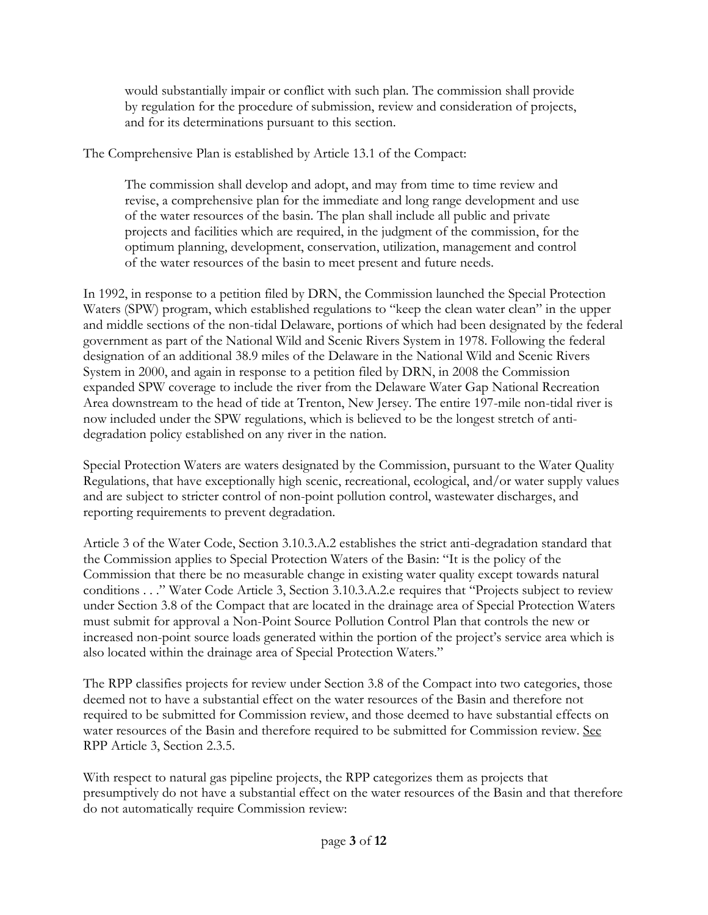would substantially impair or conflict with such plan. The commission shall provide by regulation for the procedure of submission, review and consideration of projects, and for its determinations pursuant to this section.

The Comprehensive Plan is established by Article 13.1 of the Compact:

The commission shall develop and adopt, and may from time to time review and revise, a comprehensive plan for the immediate and long range development and use of the water resources of the basin. The plan shall include all public and private projects and facilities which are required, in the judgment of the commission, for the optimum planning, development, conservation, utilization, management and control of the water resources of the basin to meet present and future needs.

In 1992, in response to a petition filed by DRN, the Commission launched the Special Protection Waters (SPW) program, which established regulations to "keep the clean water clean" in the upper and middle sections of the non-tidal Delaware, portions of which had been designated by the federal government as part of the National Wild and Scenic Rivers System in 1978. Following the federal designation of an additional 38.9 miles of the Delaware in the National Wild and Scenic Rivers System in 2000, and again in response to a petition filed by DRN, in 2008 the Commission expanded SPW coverage to include the river from the Delaware Water Gap National Recreation Area downstream to the head of tide at Trenton, New Jersey. The entire 197-mile non-tidal river is now included under the SPW regulations, which is believed to be the longest stretch of antidegradation policy established on any river in the nation.

Special Protection Waters are waters designated by the Commission, pursuant to the Water Quality Regulations, that have exceptionally high scenic, recreational, ecological, and/or water supply values and are subject to stricter control of non-point pollution control, wastewater discharges, and reporting requirements to prevent degradation.

Article 3 of the Water Code, Section 3.10.3.A.2 establishes the strict anti-degradation standard that the Commission applies to Special Protection Waters of the Basin: "It is the policy of the Commission that there be no measurable change in existing water quality except towards natural conditions . . ." Water Code Article 3, Section 3.10.3.A.2.e requires that "Projects subject to review under Section 3.8 of the Compact that are located in the drainage area of Special Protection Waters must submit for approval a Non-Point Source Pollution Control Plan that controls the new or increased non-point source loads generated within the portion of the project's service area which is also located within the drainage area of Special Protection Waters."

The RPP classifies projects for review under Section 3.8 of the Compact into two categories, those deemed not to have a substantial effect on the water resources of the Basin and therefore not required to be submitted for Commission review, and those deemed to have substantial effects on water resources of the Basin and therefore required to be submitted for Commission review. See RPP Article 3, Section 2.3.5.

With respect to natural gas pipeline projects, the RPP categorizes them as projects that presumptively do not have a substantial effect on the water resources of the Basin and that therefore do not automatically require Commission review: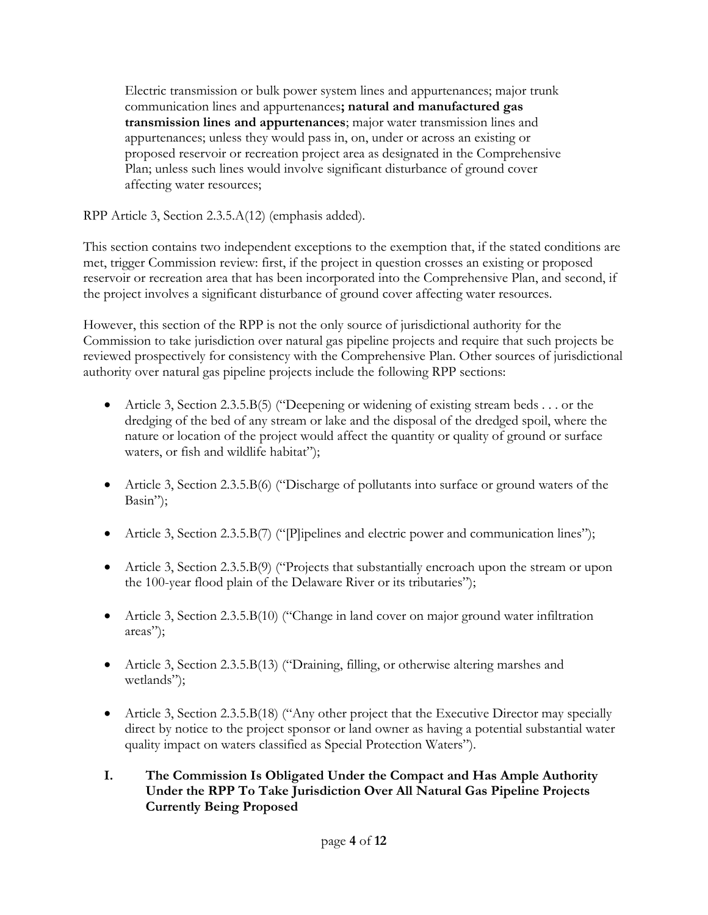Electric transmission or bulk power system lines and appurtenances; major trunk communication lines and appurtenances**; natural and manufactured gas transmission lines and appurtenances**; major water transmission lines and appurtenances; unless they would pass in, on, under or across an existing or proposed reservoir or recreation project area as designated in the Comprehensive Plan; unless such lines would involve significant disturbance of ground cover affecting water resources;

RPP Article 3, Section 2.3.5.A(12) (emphasis added).

This section contains two independent exceptions to the exemption that, if the stated conditions are met, trigger Commission review: first, if the project in question crosses an existing or proposed reservoir or recreation area that has been incorporated into the Comprehensive Plan, and second, if the project involves a significant disturbance of ground cover affecting water resources.

However, this section of the RPP is not the only source of jurisdictional authority for the Commission to take jurisdiction over natural gas pipeline projects and require that such projects be reviewed prospectively for consistency with the Comprehensive Plan. Other sources of jurisdictional authority over natural gas pipeline projects include the following RPP sections:

- Article 3, Section 2.3.5.B(5) ("Deepening or widening of existing stream beds . . . or the dredging of the bed of any stream or lake and the disposal of the dredged spoil, where the nature or location of the project would affect the quantity or quality of ground or surface waters, or fish and wildlife habitat");
- Article 3, Section 2.3.5.B(6) ("Discharge of pollutants into surface or ground waters of the Basin");
- Article 3, Section 2.3.5.B(7) ("[P]ipelines and electric power and communication lines");
- Article 3, Section 2.3.5.B(9) ("Projects that substantially encroach upon the stream or upon the 100-year flood plain of the Delaware River or its tributaries");
- Article 3, Section 2.3.5.B(10) ("Change in land cover on major ground water infiltration areas");
- Article 3, Section 2.3.5.B(13) ("Draining, filling, or otherwise altering marshes and wetlands");
- Article 3, Section 2.3.5.B(18) ("Any other project that the Executive Director may specially direct by notice to the project sponsor or land owner as having a potential substantial water quality impact on waters classified as Special Protection Waters").

# **I. The Commission Is Obligated Under the Compact and Has Ample Authority Under the RPP To Take Jurisdiction Over All Natural Gas Pipeline Projects Currently Being Proposed**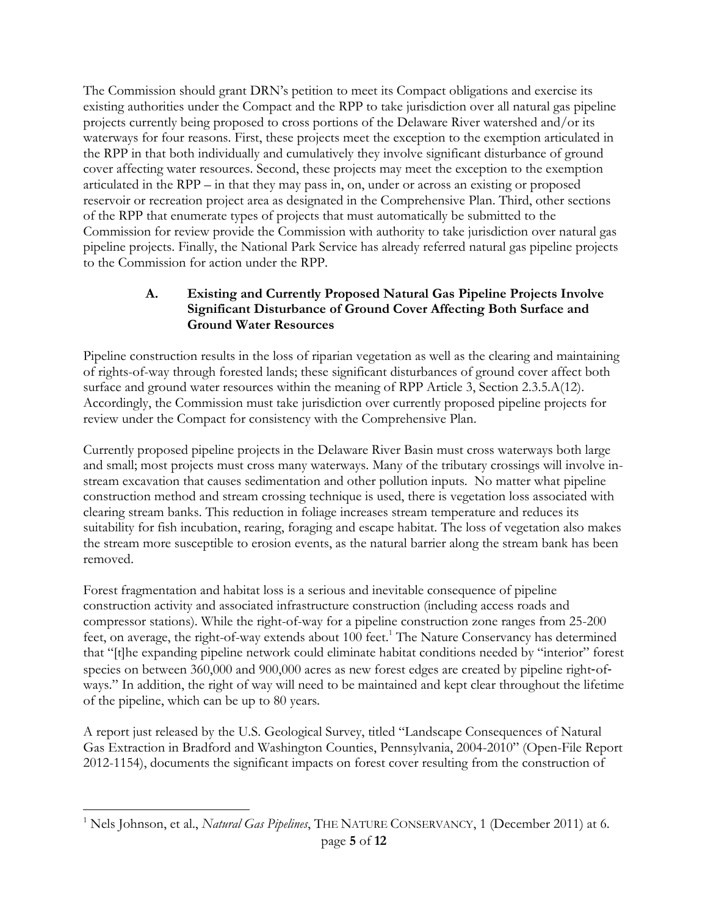The Commission should grant DRN's petition to meet its Compact obligations and exercise its existing authorities under the Compact and the RPP to take jurisdiction over all natural gas pipeline projects currently being proposed to cross portions of the Delaware River watershed and/or its waterways for four reasons. First, these projects meet the exception to the exemption articulated in the RPP in that both individually and cumulatively they involve significant disturbance of ground cover affecting water resources. Second, these projects may meet the exception to the exemption articulated in the RPP – in that they may pass in, on, under or across an existing or proposed reservoir or recreation project area as designated in the Comprehensive Plan. Third, other sections of the RPP that enumerate types of projects that must automatically be submitted to the Commission for review provide the Commission with authority to take jurisdiction over natural gas pipeline projects. Finally, the National Park Service has already referred natural gas pipeline projects to the Commission for action under the RPP.

# **A. Existing and Currently Proposed Natural Gas Pipeline Projects Involve Significant Disturbance of Ground Cover Affecting Both Surface and Ground Water Resources**

Pipeline construction results in the loss of riparian vegetation as well as the clearing and maintaining of rights-of-way through forested lands; these significant disturbances of ground cover affect both surface and ground water resources within the meaning of RPP Article 3, Section 2.3.5.A(12). Accordingly, the Commission must take jurisdiction over currently proposed pipeline projects for review under the Compact for consistency with the Comprehensive Plan.

Currently proposed pipeline projects in the Delaware River Basin must cross waterways both large and small; most projects must cross many waterways. Many of the tributary crossings will involve instream excavation that causes sedimentation and other pollution inputs. No matter what pipeline construction method and stream crossing technique is used, there is vegetation loss associated with clearing stream banks. This reduction in foliage increases stream temperature and reduces its suitability for fish incubation, rearing, foraging and escape habitat. The loss of vegetation also makes the stream more susceptible to erosion events, as the natural barrier along the stream bank has been removed.

Forest fragmentation and habitat loss is a serious and inevitable consequence of pipeline construction activity and associated infrastructure construction (including access roads and compressor stations). While the right-of-way for a pipeline construction zone ranges from 25-200 feet, on average, the right-of-way extends about 100 feet.<sup>1</sup> The Nature Conservancy has determined that "[t]he expanding pipeline network could eliminate habitat conditions needed by "interior" forest species on between 360,000 and 900,000 acres as new forest edges are created by pipeline right-ofways." In addition, the right of way will need to be maintained and kept clear throughout the lifetime of the pipeline, which can be up to 80 years.

A report just released by the U.S. Geological Survey, titled "Landscape Consequences of Natural Gas Extraction in Bradford and Washington Counties, Pennsylvania, 2004-2010" (Open-File Report 2012-1154), documents the significant impacts on forest cover resulting from the construction of

 $\overline{a}$ <sup>1</sup> Nels Johnson, et al., *Natural Gas Pipelines*, THE NATURE CONSERVANCY, 1 (December 2011) at 6.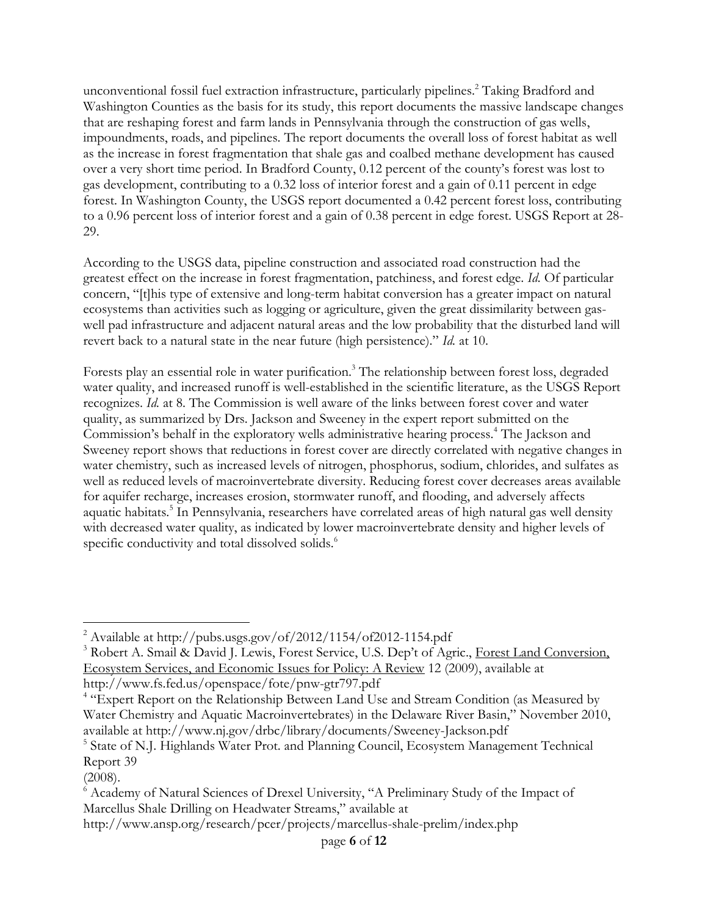unconventional fossil fuel extraction infrastructure, particularly pipelines. <sup>2</sup> Taking Bradford and Washington Counties as the basis for its study, this report documents the massive landscape changes that are reshaping forest and farm lands in Pennsylvania through the construction of gas wells, impoundments, roads, and pipelines. The report documents the overall loss of forest habitat as well as the increase in forest fragmentation that shale gas and coalbed methane development has caused over a very short time period. In Bradford County, 0.12 percent of the county's forest was lost to gas development, contributing to a 0.32 loss of interior forest and a gain of 0.11 percent in edge forest. In Washington County, the USGS report documented a 0.42 percent forest loss, contributing to a 0.96 percent loss of interior forest and a gain of 0.38 percent in edge forest. USGS Report at 28- 29.

According to the USGS data, pipeline construction and associated road construction had the greatest effect on the increase in forest fragmentation, patchiness, and forest edge. *Id.* Of particular concern, "[t]his type of extensive and long-term habitat conversion has a greater impact on natural ecosystems than activities such as logging or agriculture, given the great dissimilarity between gaswell pad infrastructure and adjacent natural areas and the low probability that the disturbed land will revert back to a natural state in the near future (high persistence)." *Id.* at 10.

Forests play an essential role in water purification.<sup>3</sup> The relationship between forest loss, degraded water quality, and increased runoff is well-established in the scientific literature, as the USGS Report recognizes. *Id.* at 8. The Commission is well aware of the links between forest cover and water quality, as summarized by Drs. Jackson and Sweeney in the expert report submitted on the Commission's behalf in the exploratory wells administrative hearing process.<sup>4</sup> The Jackson and Sweeney report shows that reductions in forest cover are directly correlated with negative changes in water chemistry, such as increased levels of nitrogen, phosphorus, sodium, chlorides, and sulfates as well as reduced levels of macroinvertebrate diversity. Reducing forest cover decreases areas available for aquifer recharge, increases erosion, stormwater runoff, and flooding, and adversely affects aquatic habitats.<sup>5</sup> In Pennsylvania, researchers have correlated areas of high natural gas well density with decreased water quality, as indicated by lower macroinvertebrate density and higher levels of specific conductivity and total dissolved solids.<sup>6</sup>

 $\overline{a}$ 

 $^{2}$  Available at http://pubs.usgs.gov/of/2012/1154/of2012-1154.pdf

<sup>&</sup>lt;sup>3</sup> Robert A. Smail & David J. Lewis, Forest Service, U.S. Dep't of Agric., Forest Land Conversion, Ecosystem Services, and Economic Issues for Policy: A Review 12 (2009), available at http://www.fs.fed.us/openspace/fote/pnw-gtr797.pdf

<sup>&</sup>lt;sup>4</sup> "Expert Report on the Relationship Between Land Use and Stream Condition (as Measured by Water Chemistry and Aquatic Macroinvertebrates) in the Delaware River Basin," November 2010, available at http://www.nj.gov/drbc/library/documents/Sweeney-Jackson.pdf

<sup>&</sup>lt;sup>5</sup> State of N.J. Highlands Water Prot. and Planning Council, Ecosystem Management Technical Report 39

<sup>(2008).</sup>

<sup>6</sup> Academy of Natural Sciences of Drexel University, "A Preliminary Study of the Impact of Marcellus Shale Drilling on Headwater Streams," available at

http://www.ansp.org/research/pcer/projects/marcellus-shale-prelim/index.php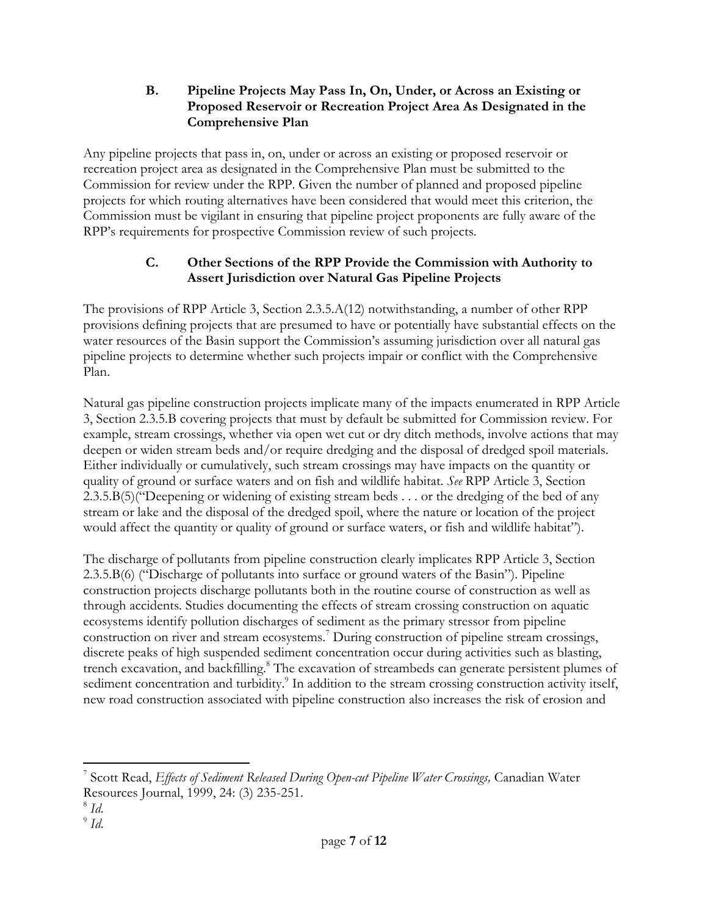#### **B. Pipeline Projects May Pass In, On, Under, or Across an Existing or Proposed Reservoir or Recreation Project Area As Designated in the Comprehensive Plan**

Any pipeline projects that pass in, on, under or across an existing or proposed reservoir or recreation project area as designated in the Comprehensive Plan must be submitted to the Commission for review under the RPP. Given the number of planned and proposed pipeline projects for which routing alternatives have been considered that would meet this criterion, the Commission must be vigilant in ensuring that pipeline project proponents are fully aware of the RPP's requirements for prospective Commission review of such projects.

# **C. Other Sections of the RPP Provide the Commission with Authority to Assert Jurisdiction over Natural Gas Pipeline Projects**

The provisions of RPP Article 3, Section 2.3.5.A(12) notwithstanding, a number of other RPP provisions defining projects that are presumed to have or potentially have substantial effects on the water resources of the Basin support the Commission's assuming jurisdiction over all natural gas pipeline projects to determine whether such projects impair or conflict with the Comprehensive Plan.

Natural gas pipeline construction projects implicate many of the impacts enumerated in RPP Article 3, Section 2.3.5.B covering projects that must by default be submitted for Commission review. For example, stream crossings, whether via open wet cut or dry ditch methods, involve actions that may deepen or widen stream beds and/or require dredging and the disposal of dredged spoil materials. Either individually or cumulatively, such stream crossings may have impacts on the quantity or quality of ground or surface waters and on fish and wildlife habitat. *See* RPP Article 3, Section 2.3.5.B(5)("Deepening or widening of existing stream beds . . . or the dredging of the bed of any stream or lake and the disposal of the dredged spoil, where the nature or location of the project would affect the quantity or quality of ground or surface waters, or fish and wildlife habitat").

The discharge of pollutants from pipeline construction clearly implicates RPP Article 3, Section 2.3.5.B(6) ("Discharge of pollutants into surface or ground waters of the Basin"). Pipeline construction projects discharge pollutants both in the routine course of construction as well as through accidents. Studies documenting the effects of stream crossing construction on aquatic ecosystems identify pollution discharges of sediment as the primary stressor from pipeline construction on river and stream ecosystems.<sup>7</sup> During construction of pipeline stream crossings, discrete peaks of high suspended sediment concentration occur during activities such as blasting, trench excavation, and backfilling.<sup>8</sup> The excavation of streambeds can generate persistent plumes of sediment concentration and turbidity.<sup>9</sup> In addition to the stream crossing construction activity itself, new road construction associated with pipeline construction also increases the risk of erosion and

 $\overline{a}$ <sup>7</sup> Scott Read, *Effects of Sediment Released During Open-cut Pipeline Water Crossings, Canadian Water* Resources Journal, 1999, 24: (3) 235-251.

<sup>8</sup> *Id*.

<sup>9</sup> *Id*.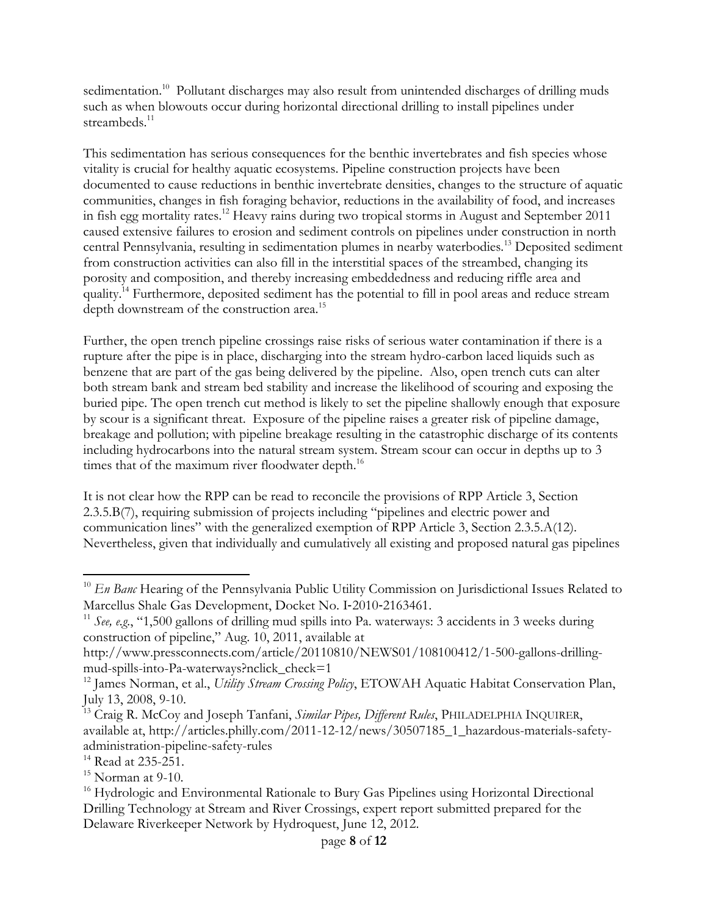sedimentation.<sup>10</sup> Pollutant discharges may also result from unintended discharges of drilling muds such as when blowouts occur during horizontal directional drilling to install pipelines under streambeds.<sup>11</sup>

This sedimentation has serious consequences for the benthic invertebrates and fish species whose vitality is crucial for healthy aquatic ecosystems. Pipeline construction projects have been documented to cause reductions in benthic invertebrate densities, changes to the structure of aquatic communities, changes in fish foraging behavior, reductions in the availability of food, and increases in fish egg mortality rates.<sup>12</sup> Heavy rains during two tropical storms in August and September 2011 caused extensive failures to erosion and sediment controls on pipelines under construction in north central Pennsylvania, resulting in sedimentation plumes in nearby waterbodies.<sup>13</sup> Deposited sediment from construction activities can also fill in the interstitial spaces of the streambed, changing its porosity and composition, and thereby increasing embeddedness and reducing riffle area and quality.<sup>14</sup> Furthermore, deposited sediment has the potential to fill in pool areas and reduce stream depth downstream of the construction area.<sup>15</sup>

Further, the open trench pipeline crossings raise risks of serious water contamination if there is a rupture after the pipe is in place, discharging into the stream hydro-carbon laced liquids such as benzene that are part of the gas being delivered by the pipeline. Also, open trench cuts can alter both stream bank and stream bed stability and increase the likelihood of scouring and exposing the buried pipe. The open trench cut method is likely to set the pipeline shallowly enough that exposure by scour is a significant threat. Exposure of the pipeline raises a greater risk of pipeline damage, breakage and pollution; with pipeline breakage resulting in the catastrophic discharge of its contents including hydrocarbons into the natural stream system. Stream scour can occur in depths up to 3 times that of the maximum river floodwater depth.<sup>16</sup>

It is not clear how the RPP can be read to reconcile the provisions of RPP Article 3, Section 2.3.5.B(7), requiring submission of projects including "pipelines and electric power and communication lines" with the generalized exemption of RPP Article 3, Section 2.3.5.A(12). Nevertheless, given that individually and cumulatively all existing and proposed natural gas pipelines

 $\overline{a}$ <sup>10</sup> *En Banc* Hearing of the Pennsylvania Public Utility Commission on Jurisdictional Issues Related to Marcellus Shale Gas Development, Docket No. I‐2010‐2163461.

<sup>&</sup>lt;sup>11</sup> *See, e.g.*, "1,500 gallons of drilling mud spills into Pa. waterways: 3 accidents in 3 weeks during construction of pipeline," Aug. 10, 2011, available at

http://www.pressconnects.com/article/20110810/NEWS01/108100412/1-500-gallons-drillingmud-spills-into-Pa-waterways?nclick\_check=1

<sup>&</sup>lt;sup>12</sup> James Norman, et al., *Utility Stream Crossing Policy*, ETOWAH Aquatic Habitat Conservation Plan, July 13, 2008, 9-10.

<sup>&</sup>lt;sup>13</sup> Craig R. McCoy and Joseph Tanfani, *Similar Pipes, Different Rules*, PHILADELPHIA INQUIRER, available at, http://articles.philly.com/2011-12-12/news/30507185\_1\_hazardous-materials-safetyadministration-pipeline-safety-rules

<sup>&</sup>lt;sup>14</sup> Read at 235-251.

 $15$  Norman at 9-10.

<sup>&</sup>lt;sup>16</sup> Hydrologic and Environmental Rationale to Bury Gas Pipelines using Horizontal Directional Drilling Technology at Stream and River Crossings, expert report submitted prepared for the Delaware Riverkeeper Network by Hydroquest, June 12, 2012.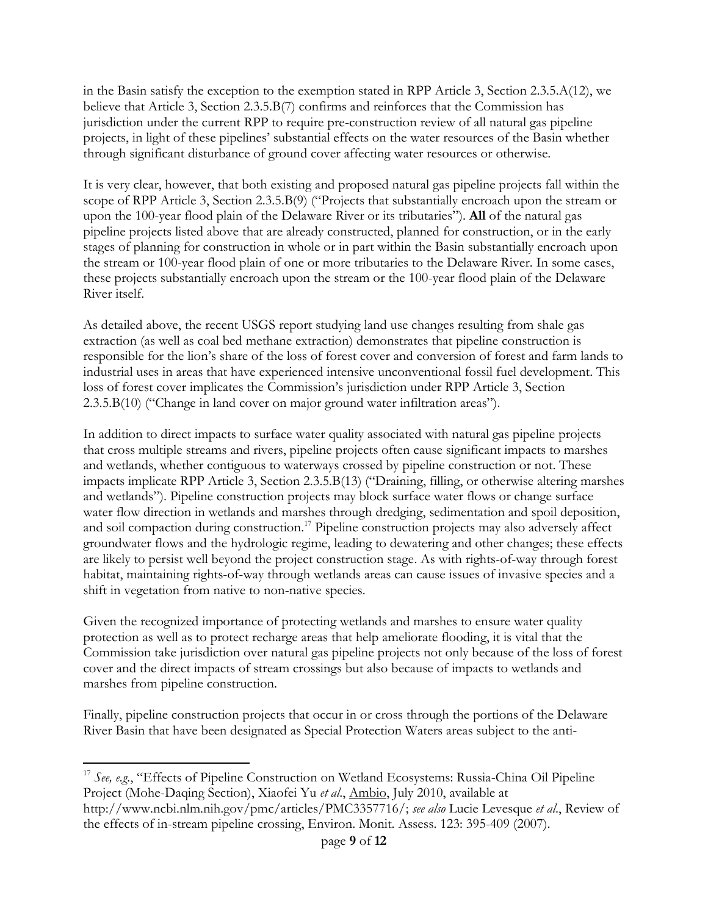in the Basin satisfy the exception to the exemption stated in RPP Article 3, Section 2.3.5.A(12), we believe that Article 3, Section 2.3.5.B(7) confirms and reinforces that the Commission has jurisdiction under the current RPP to require pre-construction review of all natural gas pipeline projects, in light of these pipelines' substantial effects on the water resources of the Basin whether through significant disturbance of ground cover affecting water resources or otherwise.

It is very clear, however, that both existing and proposed natural gas pipeline projects fall within the scope of RPP Article 3, Section 2.3.5.B(9) ("Projects that substantially encroach upon the stream or upon the 100-year flood plain of the Delaware River or its tributaries"). **All** of the natural gas pipeline projects listed above that are already constructed, planned for construction, or in the early stages of planning for construction in whole or in part within the Basin substantially encroach upon the stream or 100-year flood plain of one or more tributaries to the Delaware River. In some cases, these projects substantially encroach upon the stream or the 100-year flood plain of the Delaware River itself.

As detailed above, the recent USGS report studying land use changes resulting from shale gas extraction (as well as coal bed methane extraction) demonstrates that pipeline construction is responsible for the lion's share of the loss of forest cover and conversion of forest and farm lands to industrial uses in areas that have experienced intensive unconventional fossil fuel development. This loss of forest cover implicates the Commission's jurisdiction under RPP Article 3, Section 2.3.5.B(10) ("Change in land cover on major ground water infiltration areas").

In addition to direct impacts to surface water quality associated with natural gas pipeline projects that cross multiple streams and rivers, pipeline projects often cause significant impacts to marshes and wetlands, whether contiguous to waterways crossed by pipeline construction or not. These impacts implicate RPP Article 3, Section 2.3.5.B(13) ("Draining, filling, or otherwise altering marshes and wetlands"). Pipeline construction projects may block surface water flows or change surface water flow direction in wetlands and marshes through dredging, sedimentation and spoil deposition, and soil compaction during construction.<sup>17</sup> Pipeline construction projects may also adversely affect groundwater flows and the hydrologic regime, leading to dewatering and other changes; these effects are likely to persist well beyond the project construction stage. As with rights-of-way through forest habitat, maintaining rights-of-way through wetlands areas can cause issues of invasive species and a shift in vegetation from native to non-native species.

Given the recognized importance of protecting wetlands and marshes to ensure water quality protection as well as to protect recharge areas that help ameliorate flooding, it is vital that the Commission take jurisdiction over natural gas pipeline projects not only because of the loss of forest cover and the direct impacts of stream crossings but also because of impacts to wetlands and marshes from pipeline construction.

Finally, pipeline construction projects that occur in or cross through the portions of the Delaware River Basin that have been designated as Special Protection Waters areas subject to the anti-

 $\overline{a}$ 

<sup>&</sup>lt;sup>17</sup> See, e.g., "Effects of Pipeline Construction on Wetland Ecosystems: Russia-China Oil Pipeline Project (Mohe-Daqing Section), Xiaofei Yu *et al*., Ambio, July 2010, available at http://www.ncbi.nlm.nih.gov/pmc/articles/PMC3357716/; *see also* Lucie Levesque *et al*., Review of the effects of in-stream pipeline crossing, Environ. Monit. Assess. 123: 395-409 (2007).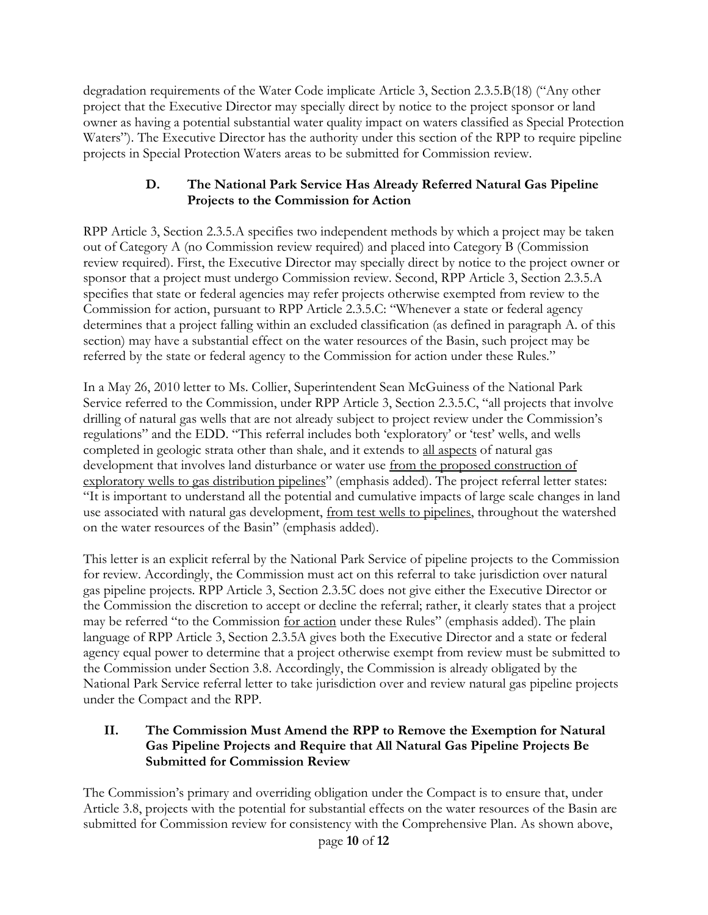degradation requirements of the Water Code implicate Article 3, Section 2.3.5.B(18) ("Any other project that the Executive Director may specially direct by notice to the project sponsor or land owner as having a potential substantial water quality impact on waters classified as Special Protection Waters"). The Executive Director has the authority under this section of the RPP to require pipeline projects in Special Protection Waters areas to be submitted for Commission review.

# **D. The National Park Service Has Already Referred Natural Gas Pipeline Projects to the Commission for Action**

RPP Article 3, Section 2.3.5.A specifies two independent methods by which a project may be taken out of Category A (no Commission review required) and placed into Category B (Commission review required). First, the Executive Director may specially direct by notice to the project owner or sponsor that a project must undergo Commission review. Second, RPP Article 3, Section 2.3.5.A specifies that state or federal agencies may refer projects otherwise exempted from review to the Commission for action, pursuant to RPP Article 2.3.5.C: "Whenever a state or federal agency determines that a project falling within an excluded classification (as defined in paragraph A. of this section) may have a substantial effect on the water resources of the Basin, such project may be referred by the state or federal agency to the Commission for action under these Rules."

In a May 26, 2010 letter to Ms. Collier, Superintendent Sean McGuiness of the National Park Service referred to the Commission, under RPP Article 3, Section 2.3.5.C, "all projects that involve drilling of natural gas wells that are not already subject to project review under the Commission's regulations" and the EDD. "This referral includes both 'exploratory' or 'test' wells, and wells completed in geologic strata other than shale, and it extends to all aspects of natural gas development that involves land disturbance or water use from the proposed construction of exploratory wells to gas distribution pipelines" (emphasis added). The project referral letter states: "It is important to understand all the potential and cumulative impacts of large scale changes in land use associated with natural gas development, from test wells to pipelines, throughout the watershed on the water resources of the Basin" (emphasis added).

This letter is an explicit referral by the National Park Service of pipeline projects to the Commission for review. Accordingly, the Commission must act on this referral to take jurisdiction over natural gas pipeline projects. RPP Article 3, Section 2.3.5C does not give either the Executive Director or the Commission the discretion to accept or decline the referral; rather, it clearly states that a project may be referred "to the Commission for action under these Rules" (emphasis added). The plain language of RPP Article 3, Section 2.3.5A gives both the Executive Director and a state or federal agency equal power to determine that a project otherwise exempt from review must be submitted to the Commission under Section 3.8. Accordingly, the Commission is already obligated by the National Park Service referral letter to take jurisdiction over and review natural gas pipeline projects under the Compact and the RPP.

# **II. The Commission Must Amend the RPP to Remove the Exemption for Natural Gas Pipeline Projects and Require that All Natural Gas Pipeline Projects Be Submitted for Commission Review**

The Commission's primary and overriding obligation under the Compact is to ensure that, under Article 3.8, projects with the potential for substantial effects on the water resources of the Basin are submitted for Commission review for consistency with the Comprehensive Plan. As shown above,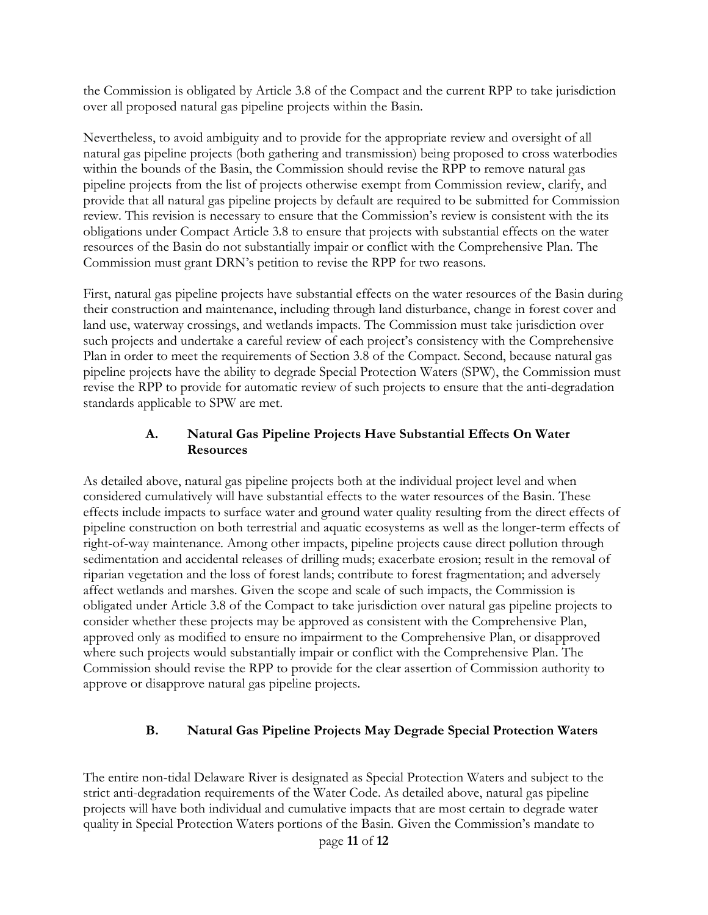the Commission is obligated by Article 3.8 of the Compact and the current RPP to take jurisdiction over all proposed natural gas pipeline projects within the Basin.

Nevertheless, to avoid ambiguity and to provide for the appropriate review and oversight of all natural gas pipeline projects (both gathering and transmission) being proposed to cross waterbodies within the bounds of the Basin, the Commission should revise the RPP to remove natural gas pipeline projects from the list of projects otherwise exempt from Commission review, clarify, and provide that all natural gas pipeline projects by default are required to be submitted for Commission review. This revision is necessary to ensure that the Commission's review is consistent with the its obligations under Compact Article 3.8 to ensure that projects with substantial effects on the water resources of the Basin do not substantially impair or conflict with the Comprehensive Plan. The Commission must grant DRN's petition to revise the RPP for two reasons.

First, natural gas pipeline projects have substantial effects on the water resources of the Basin during their construction and maintenance, including through land disturbance, change in forest cover and land use, waterway crossings, and wetlands impacts. The Commission must take jurisdiction over such projects and undertake a careful review of each project's consistency with the Comprehensive Plan in order to meet the requirements of Section 3.8 of the Compact. Second, because natural gas pipeline projects have the ability to degrade Special Protection Waters (SPW), the Commission must revise the RPP to provide for automatic review of such projects to ensure that the anti-degradation standards applicable to SPW are met.

#### **A. Natural Gas Pipeline Projects Have Substantial Effects On Water Resources**

As detailed above, natural gas pipeline projects both at the individual project level and when considered cumulatively will have substantial effects to the water resources of the Basin. These effects include impacts to surface water and ground water quality resulting from the direct effects of pipeline construction on both terrestrial and aquatic ecosystems as well as the longer-term effects of right-of-way maintenance. Among other impacts, pipeline projects cause direct pollution through sedimentation and accidental releases of drilling muds; exacerbate erosion; result in the removal of riparian vegetation and the loss of forest lands; contribute to forest fragmentation; and adversely affect wetlands and marshes. Given the scope and scale of such impacts, the Commission is obligated under Article 3.8 of the Compact to take jurisdiction over natural gas pipeline projects to consider whether these projects may be approved as consistent with the Comprehensive Plan, approved only as modified to ensure no impairment to the Comprehensive Plan, or disapproved where such projects would substantially impair or conflict with the Comprehensive Plan. The Commission should revise the RPP to provide for the clear assertion of Commission authority to approve or disapprove natural gas pipeline projects.

# **B. Natural Gas Pipeline Projects May Degrade Special Protection Waters**

The entire non-tidal Delaware River is designated as Special Protection Waters and subject to the strict anti-degradation requirements of the Water Code. As detailed above, natural gas pipeline projects will have both individual and cumulative impacts that are most certain to degrade water quality in Special Protection Waters portions of the Basin. Given the Commission's mandate to